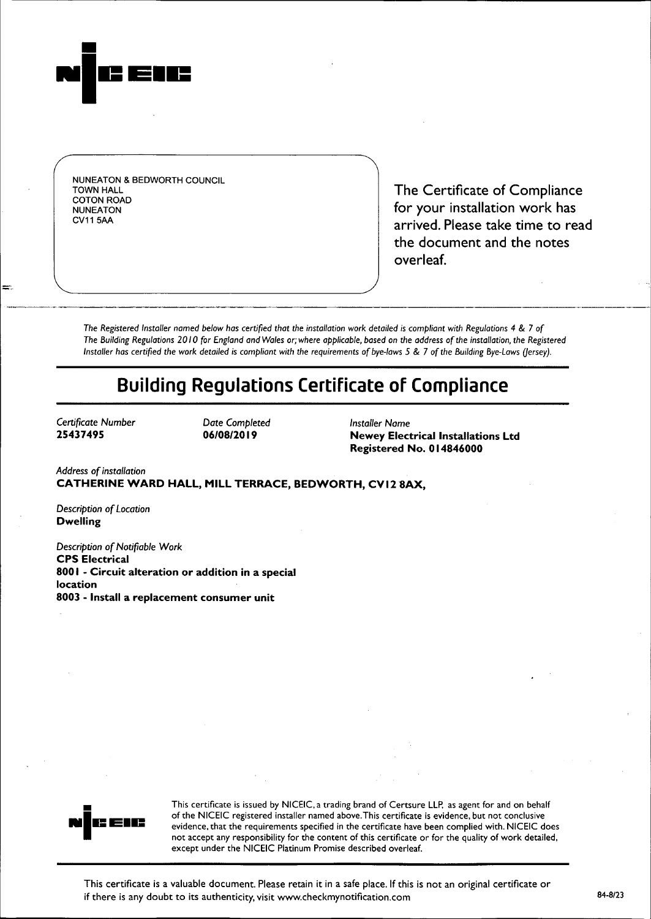

NUNEATON & BEDWORTH COUNCIL COTON ROAD

TOWN HALL TOWN HALL TOWN HALL NUNEATON<br>
NUNEATON<br>
CV11 5AA arrived. Please take time to read the document and the notes overleaf.

The Registered Installer named below has certified that the installation work detailed is compliant with Regulations 4 & 7 of The Building Regulations 2010 for England and Wales or; where applicable, based on the address of the installation, the Registered Installer has certified the work detailed is compliant with the requirements of bye-laws 5 & 7 of the Building Bye-Laws (Jersey).

I

# **Building Regulations Certificate of Compliance**

Certificate Number Date Completed *Installer* Name

**25437495 06/08/2019 Newey Electrical Installations Ltd Registered No. 014846000**

*Address of installation* **CATHERINE WARD HALL, MILL TERRACE, BEDWORTH, CVI 2 BAX,**

*Description of Location* **Dwelling**

*Description of* Notifiable *Work* **CPS Electrical 8001** − **Circuit alteration or addition in a special location 8003** − **Install a replacement consumer unit**



This certificate is issued by NICEIC, a trading brand of Certsure LLP, as agent for and on behalf of the NICEIC registered installer named above.This certificate is evidence, but not conclusive evidence, that the requirements specified in the certificate have been complied with. NICEIC does not accept any responsibility for the content of this certificate or for the quality of work detailed, except under the NICEIC Platinum Promise described overleaf.

This certificate is a valuable document. Please retain it in a safe place. If this is not an original certificate o if there is any doubt to its authenticity, visit www.checkmynotification.com  $84-8/23$